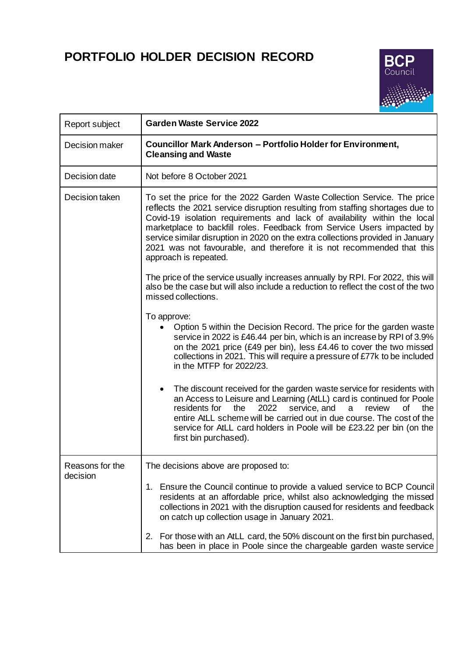## **PORTFOLIO HOLDER DECISION RECORD**



| Report subject              | <b>Garden Waste Service 2022</b>                                                                                                                                                                                                                                                                                                                                                                                                                                                                       |  |
|-----------------------------|--------------------------------------------------------------------------------------------------------------------------------------------------------------------------------------------------------------------------------------------------------------------------------------------------------------------------------------------------------------------------------------------------------------------------------------------------------------------------------------------------------|--|
| Decision maker              | Councillor Mark Anderson - Portfolio Holder for Environment,<br><b>Cleansing and Waste</b>                                                                                                                                                                                                                                                                                                                                                                                                             |  |
| Decision date               | Not before 8 October 2021                                                                                                                                                                                                                                                                                                                                                                                                                                                                              |  |
| Decision taken              | To set the price for the 2022 Garden Waste Collection Service. The price<br>reflects the 2021 service disruption resulting from staffing shortages due to<br>Covid-19 isolation requirements and lack of availability within the local<br>marketplace to backfill roles. Feedback from Service Users impacted by<br>service similar disruption in 2020 on the extra collections provided in January<br>2021 was not favourable, and therefore it is not recommended that this<br>approach is repeated. |  |
|                             | The price of the service usually increases annually by RPI. For 2022, this will<br>also be the case but will also include a reduction to reflect the cost of the two<br>missed collections.                                                                                                                                                                                                                                                                                                            |  |
|                             | To approve:<br>Option 5 within the Decision Record. The price for the garden waste<br>service in 2022 is £46.44 per bin, which is an increase by RPI of 3.9%<br>on the 2021 price (£49 per bin), less £4.46 to cover the two missed<br>collections in 2021. This will require a pressure of £77k to be included<br>in the MTFP for 2022/23.                                                                                                                                                            |  |
|                             | The discount received for the garden waste service for residents with<br>an Access to Leisure and Learning (AtLL) card is continued for Poole<br>service, and<br>residents for<br>the<br>2022<br>review<br>οf<br>the<br>a<br>entire AtLL scheme will be carried out in due course. The cost of the<br>service for AtLL card holders in Poole will be £23.22 per bin (on the<br>first bin purchased).                                                                                                   |  |
| Reasons for the<br>decision | The decisions above are proposed to:                                                                                                                                                                                                                                                                                                                                                                                                                                                                   |  |
|                             | 1. Ensure the Council continue to provide a valued service to BCP Council<br>residents at an affordable price, whilst also acknowledging the missed<br>collections in 2021 with the disruption caused for residents and feedback<br>on catch up collection usage in January 2021.                                                                                                                                                                                                                      |  |
|                             | For those with an AtLL card, the 50% discount on the first bin purchased,<br>2.<br>has been in place in Poole since the chargeable garden waste service                                                                                                                                                                                                                                                                                                                                                |  |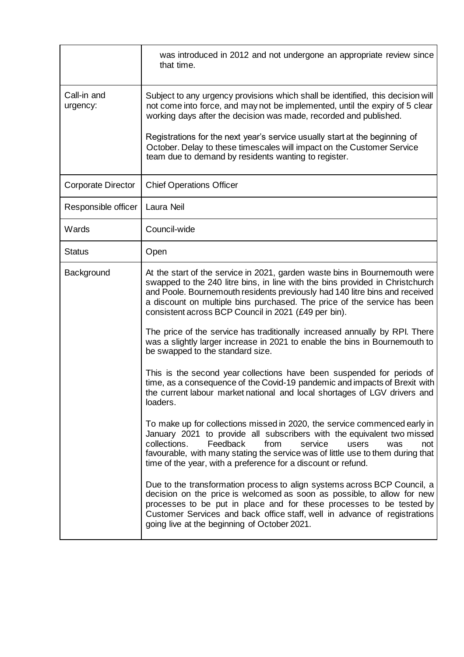|                           | was introduced in 2012 and not undergone an appropriate review since<br>that time.                                                                                                                                                                                                                                                                                             |
|---------------------------|--------------------------------------------------------------------------------------------------------------------------------------------------------------------------------------------------------------------------------------------------------------------------------------------------------------------------------------------------------------------------------|
| Call-in and<br>urgency:   | Subject to any urgency provisions which shall be identified, this decision will<br>not come into force, and may not be implemented, until the expiry of 5 clear<br>working days after the decision was made, recorded and published.                                                                                                                                           |
|                           | Registrations for the next year's service usually start at the beginning of<br>October. Delay to these timescales will impact on the Customer Service<br>team due to demand by residents wanting to register.                                                                                                                                                                  |
| <b>Corporate Director</b> | <b>Chief Operations Officer</b>                                                                                                                                                                                                                                                                                                                                                |
| Responsible officer       | Laura Neil                                                                                                                                                                                                                                                                                                                                                                     |
| Wards                     | Council-wide                                                                                                                                                                                                                                                                                                                                                                   |
| <b>Status</b>             | Open                                                                                                                                                                                                                                                                                                                                                                           |
| Background                | At the start of the service in 2021, garden waste bins in Bournemouth were<br>swapped to the 240 litre bins, in line with the bins provided in Christchurch<br>and Poole. Bournemouth residents previously had 140 litre bins and received<br>a discount on multiple bins purchased. The price of the service has been<br>consistent across BCP Council in 2021 (£49 per bin). |
|                           | The price of the service has traditionally increased annually by RPI. There<br>was a slightly larger increase in 2021 to enable the bins in Bournemouth to<br>be swapped to the standard size.                                                                                                                                                                                 |
|                           | This is the second year collections have been suspended for periods of<br>time, as a consequence of the Covid-19 pandemic and impacts of Brexit with<br>the current labour market national and local shortages of LGV drivers and<br>loaders.                                                                                                                                  |
|                           | To make up for collections missed in 2020, the service commenced early in<br>January 2021 to provide all subscribers with the equivalent two missed<br>Feedback<br>collections.<br>from<br>service<br>users<br>was<br>not<br>favourable, with many stating the service was of little use to them during that<br>time of the year, with a preference for a discount or refund.  |
|                           | Due to the transformation process to align systems across BCP Council, a<br>decision on the price is welcomed as soon as possible, to allow for new<br>processes to be put in place and for these processes to be tested by<br>Customer Services and back office staff, well in advance of registrations<br>going live at the beginning of October 2021.                       |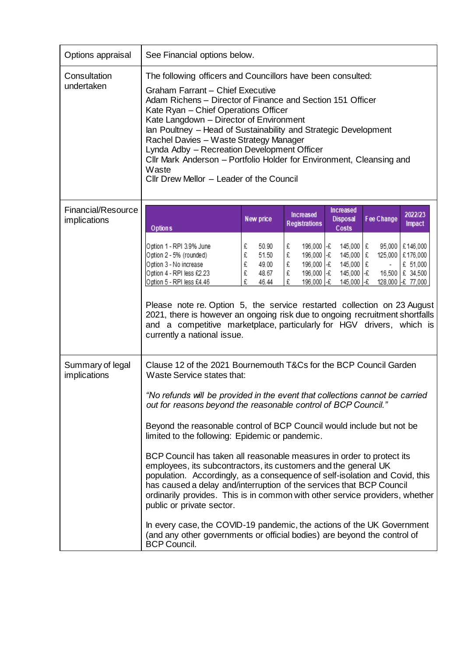| Options appraisal                         | See Financial options below.                                                                                                                                                                                                                                                                                                                                                                                                                                                                                                                     |                                                                    |                                                                                             |                                                                                     |                                                                                               |  |
|-------------------------------------------|--------------------------------------------------------------------------------------------------------------------------------------------------------------------------------------------------------------------------------------------------------------------------------------------------------------------------------------------------------------------------------------------------------------------------------------------------------------------------------------------------------------------------------------------------|--------------------------------------------------------------------|---------------------------------------------------------------------------------------------|-------------------------------------------------------------------------------------|-----------------------------------------------------------------------------------------------|--|
| Consultation<br>undertaken                | The following officers and Councillors have been consulted:<br><b>Graham Farrant - Chief Executive</b><br>Adam Richens – Director of Finance and Section 151 Officer<br>Kate Ryan - Chief Operations Officer<br>Kate Langdown - Director of Environment<br>Ian Poultney - Head of Sustainability and Strategic Development<br>Rachel Davies - Waste Strategy Manager<br>Lynda Adby - Recreation Development Officer<br>Cllr Mark Anderson - Portfolio Holder for Environment, Cleansing and<br>Waste<br>Cllr Drew Mellor - Leader of the Council |                                                                    |                                                                                             |                                                                                     |                                                                                               |  |
| <b>Financial/Resource</b><br>implications |                                                                                                                                                                                                                                                                                                                                                                                                                                                                                                                                                  | New price                                                          | <b>Increased</b><br><b>Registrations</b>                                                    | Increased<br><b>Disposal</b>                                                        | 2022/23<br>Fee Change<br>Impact                                                               |  |
|                                           | <b>Options</b><br>Option 1 - RPI 3.9% June<br>Option 2 - 5% (rounded)<br>Option 3 - No increase<br>Option 4 - RPI less £2.23<br>Option 5 - RPI less £4.46<br>Please note re. Option 5, the service restarted collection on 23 August<br>2021, there is however an ongoing risk due to ongoing recruitment shortfalls<br>and a competitive marketplace, particularly for HGV drivers, which is<br>currently a national issue.                                                                                                                     | £<br>50.90<br>£<br>51.50<br>£<br>49.00<br>£<br>48.67<br>£<br>46.44 | 196,000 F£<br>£<br>£<br>196,000 -£<br>£<br>196,000 -£<br>£<br>196,000 -£<br>£<br>196,000 -£ | Costs<br>145,000 E<br>145,000 £<br>145,000 £<br>145,000 $\frac{1}{2}$<br>145,000 -£ | £146,000<br>95,000<br>125,000<br>£176,000<br>£ 51,000<br>16,500 £ 34,500<br>128,000 -£ 77,000 |  |
| Summary of legal<br>implications          | Clause 12 of the 2021 Bournemouth T&Cs for the BCP Council Garden<br>Waste Service states that:                                                                                                                                                                                                                                                                                                                                                                                                                                                  |                                                                    |                                                                                             |                                                                                     |                                                                                               |  |
|                                           | "No refunds will be provided in the event that collections cannot be carried<br>out for reasons beyond the reasonable control of BCP Council."<br>Beyond the reasonable control of BCP Council would include but not be                                                                                                                                                                                                                                                                                                                          |                                                                    |                                                                                             |                                                                                     |                                                                                               |  |
|                                           | limited to the following: Epidemic or pandemic.<br>BCP Council has taken all reasonable measures in order to protect its<br>employees, its subcontractors, its customers and the general UK<br>population. Accordingly, as a consequence of self-isolation and Covid, this<br>has caused a delay and/interruption of the services that BCP Council<br>ordinarily provides. This is in common with other service providers, whether<br>public or private sector.<br>In every case, the COVID-19 pandemic, the actions of the UK Government        |                                                                    |                                                                                             |                                                                                     |                                                                                               |  |
|                                           | (and any other governments or official bodies) are beyond the control of<br><b>BCP Council.</b>                                                                                                                                                                                                                                                                                                                                                                                                                                                  |                                                                    |                                                                                             |                                                                                     |                                                                                               |  |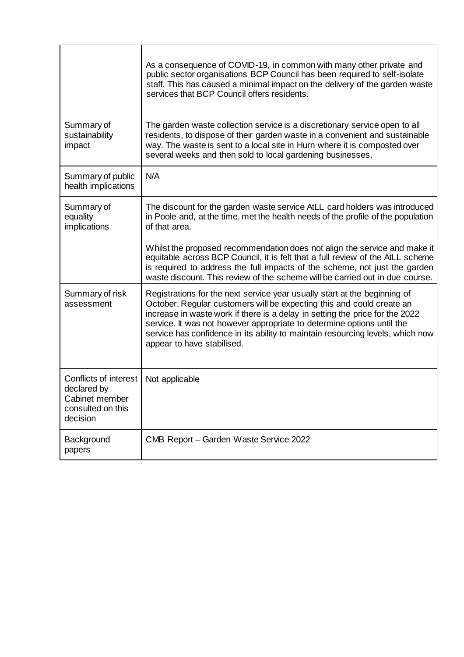|                                                                                         | As a consequence of COVID-19, in common with many other private and<br>public sector organisations BCP Council has been required to self-isolate<br>staff. This has caused a minimal impact on the delivery of the garden waste<br>services that BCP Council offers residents.                                                                                                                                               |
|-----------------------------------------------------------------------------------------|------------------------------------------------------------------------------------------------------------------------------------------------------------------------------------------------------------------------------------------------------------------------------------------------------------------------------------------------------------------------------------------------------------------------------|
| Summary of<br>sustainability<br>impact                                                  | The garden waste collection service is a discretionary service open to all<br>residents, to dispose of their garden waste in a convenient and sustainable<br>way. The waste is sent to a local site in Hurn where it is composted over<br>several weeks and then sold to local gardening businesses.                                                                                                                         |
| Summary of public<br>health implications                                                | N/A                                                                                                                                                                                                                                                                                                                                                                                                                          |
| Summary of<br>equality<br>implications                                                  | The discount for the garden waste service AtLL card holders was introduced<br>in Poole and, at the time, met the health needs of the profile of the population<br>of that area.                                                                                                                                                                                                                                              |
|                                                                                         | Whilst the proposed recommendation does not align the service and make it<br>equitable across BCP Council, it is felt that a full review of the AtLL scheme<br>is required to address the full impacts of the scheme, not just the garden<br>waste discount. This review of the scheme will be carried out in due course.                                                                                                    |
| Summary of risk<br>assessment                                                           | Registrations for the next service year usually start at the beginning of<br>October. Regular customers will be expecting this and could create an<br>increase in waste work if there is a delay in setting the price for the 2022<br>service. It was not however appropriate to determine options until the<br>service has confidence in its ability to maintain resourcing levels, which now<br>appear to have stabilised. |
| Conflicts of interest<br>declared by<br>Cabinet member<br>consulted on this<br>decision | Not applicable                                                                                                                                                                                                                                                                                                                                                                                                               |
| Background<br>papers                                                                    | CMB Report - Garden Waste Service 2022                                                                                                                                                                                                                                                                                                                                                                                       |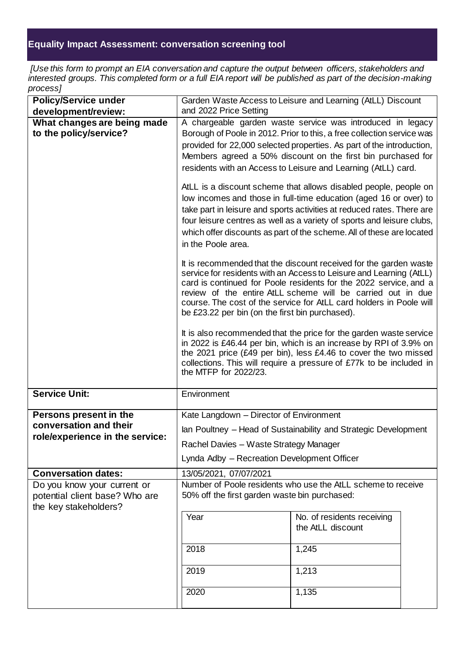## **Equality Impact Assessment: conversation screening tool**

*[Use this form to prompt an EIA conversation and capture the output between officers, stakeholders and interested groups. This completed form or a full EIA report will be published as part of the decision-making process]*

| <b>Policy/Service under</b><br>development/review:                                     | Garden Waste Access to Leisure and Learning (AtLL) Discount<br>and 2022 Price Setting |                                                                                                                                                                                                                                                                                                                                                                    |  |  |
|----------------------------------------------------------------------------------------|---------------------------------------------------------------------------------------|--------------------------------------------------------------------------------------------------------------------------------------------------------------------------------------------------------------------------------------------------------------------------------------------------------------------------------------------------------------------|--|--|
| What changes are being made                                                            |                                                                                       | A chargeable garden waste service was introduced in legacy                                                                                                                                                                                                                                                                                                         |  |  |
| to the policy/service?                                                                 |                                                                                       | Borough of Poole in 2012. Prior to this, a free collection service was<br>provided for 22,000 selected properties. As part of the introduction,<br>Members agreed a 50% discount on the first bin purchased for<br>residents with an Access to Leisure and Learning (AtLL) card.                                                                                   |  |  |
|                                                                                        | in the Poole area.                                                                    | AtLL is a discount scheme that allows disabled people, people on<br>low incomes and those in full-time education (aged 16 or over) to<br>take part in leisure and sports activities at reduced rates. There are<br>four leisure centres as well as a variety of sports and leisure clubs,<br>which offer discounts as part of the scheme. All of these are located |  |  |
|                                                                                        | be £23.22 per bin (on the first bin purchased).                                       | It is recommended that the discount received for the garden waste<br>service for residents with an Access to Leisure and Learning (AtLL)<br>card is continued for Poole residents for the 2022 service, and a<br>review of the entire AtLL scheme will be carried out in due<br>course. The cost of the service for AtLL card holders in Poole will                |  |  |
|                                                                                        | the MTFP for 2022/23.                                                                 | It is also recommended that the price for the garden waste service<br>in 2022 is £46.44 per bin, which is an increase by RPI of 3.9% on<br>the 2021 price (£49 per bin), less £4.46 to cover the two missed<br>collections. This will require a pressure of £77k to be included in                                                                                 |  |  |
| <b>Service Unit:</b>                                                                   | Environment                                                                           |                                                                                                                                                                                                                                                                                                                                                                    |  |  |
| Persons present in the                                                                 | Kate Langdown - Director of Environment                                               |                                                                                                                                                                                                                                                                                                                                                                    |  |  |
| conversation and their<br>role/experience in the service:                              | Ian Poultney - Head of Sustainability and Strategic Development                       |                                                                                                                                                                                                                                                                                                                                                                    |  |  |
|                                                                                        | Rachel Davies - Waste Strategy Manager                                                |                                                                                                                                                                                                                                                                                                                                                                    |  |  |
|                                                                                        | Lynda Adby - Recreation Development Officer                                           |                                                                                                                                                                                                                                                                                                                                                                    |  |  |
| <b>Conversation dates:</b>                                                             | 13/05/2021, 07/07/2021                                                                |                                                                                                                                                                                                                                                                                                                                                                    |  |  |
| Do you know your current or<br>potential client base? Who are<br>the key stakeholders? | 50% off the first garden waste bin purchased:                                         | Number of Poole residents who use the AtLL scheme to receive                                                                                                                                                                                                                                                                                                       |  |  |
|                                                                                        | Year                                                                                  | No. of residents receiving<br>the AtLL discount                                                                                                                                                                                                                                                                                                                    |  |  |
|                                                                                        | 2018                                                                                  | 1,245                                                                                                                                                                                                                                                                                                                                                              |  |  |
|                                                                                        | 2019                                                                                  | 1,213                                                                                                                                                                                                                                                                                                                                                              |  |  |
|                                                                                        | 2020                                                                                  | 1,135                                                                                                                                                                                                                                                                                                                                                              |  |  |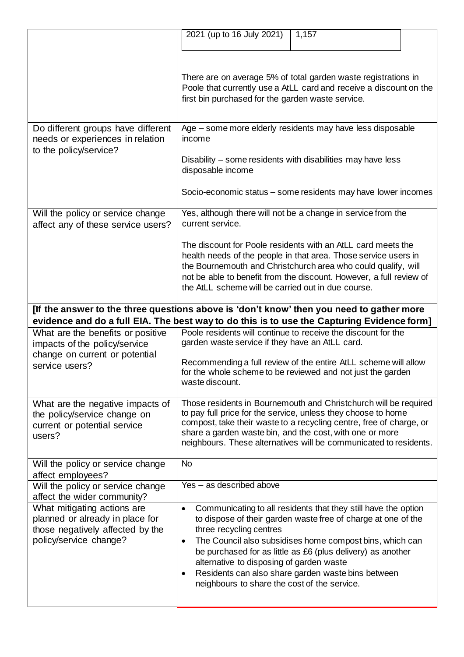|                                                                                                                                                                                        | 2021 (up to 16 July 2021)<br>1,157                                                                                                                                                                                                                                                                                                                                                                                                                                             |  |
|----------------------------------------------------------------------------------------------------------------------------------------------------------------------------------------|--------------------------------------------------------------------------------------------------------------------------------------------------------------------------------------------------------------------------------------------------------------------------------------------------------------------------------------------------------------------------------------------------------------------------------------------------------------------------------|--|
|                                                                                                                                                                                        | There are on average 5% of total garden waste registrations in<br>Poole that currently use a AtLL card and receive a discount on the<br>first bin purchased for the garden waste service.                                                                                                                                                                                                                                                                                      |  |
| Do different groups have different<br>needs or experiences in relation<br>to the policy/service?                                                                                       | Age – some more elderly residents may have less disposable<br>income<br>Disability – some residents with disabilities may have less<br>disposable income<br>Socio-economic status – some residents may have lower incomes                                                                                                                                                                                                                                                      |  |
| Will the policy or service change<br>affect any of these service users?                                                                                                                | Yes, although there will not be a change in service from the<br>current service.                                                                                                                                                                                                                                                                                                                                                                                               |  |
|                                                                                                                                                                                        | The discount for Poole residents with an AtLL card meets the<br>health needs of the people in that area. Those service users in<br>the Bournemouth and Christchurch area who could qualify, will<br>not be able to benefit from the discount. However, a full review of<br>the AtLL scheme will be carried out in due course.                                                                                                                                                  |  |
| [If the answer to the three questions above is 'don't know' then you need to gather more<br>evidence and do a full EIA. The best way to do this is to use the Capturing Evidence form] |                                                                                                                                                                                                                                                                                                                                                                                                                                                                                |  |
| What are the benefits or positive<br>impacts of the policy/service<br>change on current or potential<br>service users?                                                                 | Poole residents will continue to receive the discount for the<br>garden waste service if they have an AtLL card.<br>Recommending a full review of the entire AtLL scheme will allow<br>for the whole scheme to be reviewed and not just the garden<br>waste discount.                                                                                                                                                                                                          |  |
| What are the negative impacts of<br>the policy/service change on<br>current or potential service<br>users?                                                                             | Those residents in Bournemouth and Christchurch will be required<br>to pay full price for the service, unless they choose to home<br>compost, take their waste to a recycling centre, free of charge, or<br>share a garden waste bin, and the cost, with one or more<br>neighbours. These alternatives will be communicated to residents.                                                                                                                                      |  |
| Will the policy or service change<br>affect employees?                                                                                                                                 | <b>No</b>                                                                                                                                                                                                                                                                                                                                                                                                                                                                      |  |
| Will the policy or service change<br>affect the wider community?                                                                                                                       | Yes - as described above                                                                                                                                                                                                                                                                                                                                                                                                                                                       |  |
| What mitigating actions are<br>planned or already in place for<br>those negatively affected by the<br>policy/service change?                                                           | Communicating to all residents that they still have the option<br>$\bullet$<br>to dispose of their garden waste free of charge at one of the<br>three recycling centres<br>The Council also subsidises home compost bins, which can<br>$\bullet$<br>be purchased for as little as £6 (plus delivery) as another<br>alternative to disposing of garden waste<br>Residents can also share garden waste bins between<br>$\bullet$<br>neighbours to share the cost of the service. |  |